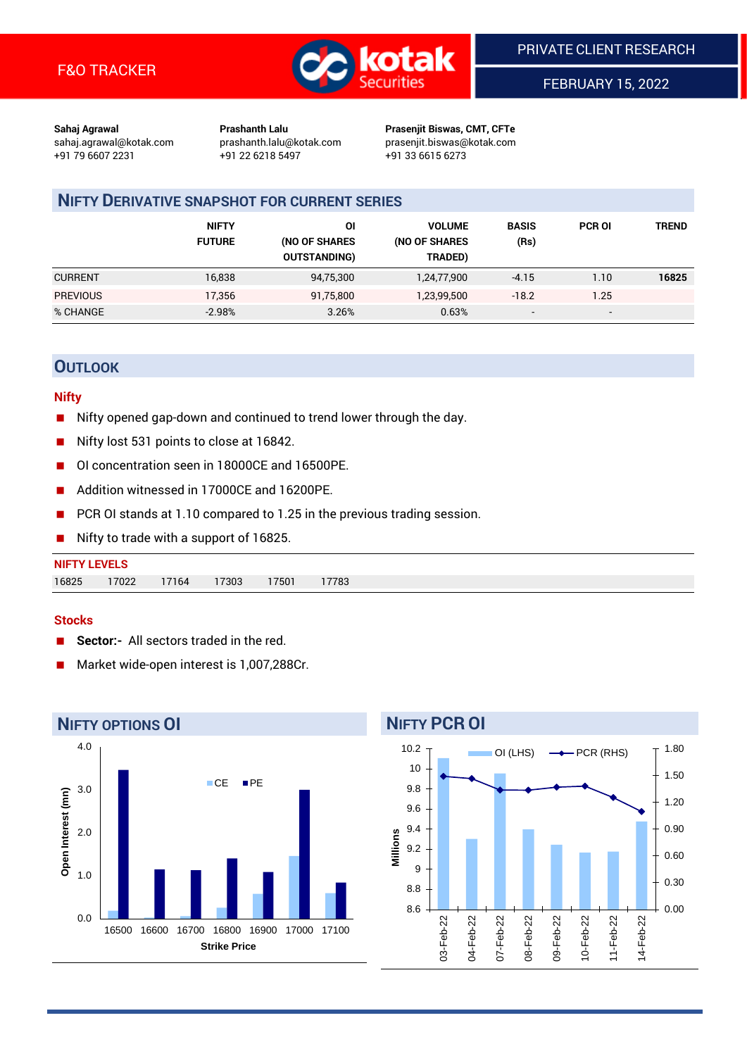

FEBRUARY 15, 2022

**Sahaj Agrawal Prashanth Lalu Prasenjit Biswas, CMT, CFTe** +91 79 6607 2231 +91 22 6218 5497 +91 33 6615 6273

sahaj.agrawal@kotak.com [prashanth.lalu@kotak.com](mailto:prashanth.lalu@kotak.com) prasenjit.biswas@kotak.com

# **NIFTY DERIVATIVE SNAPSHOT FOR CURRENT SERIES**

|                 | <b>NIFTY</b><br><b>FUTURE</b> | ΟI<br>(NO OF SHARES<br><b>OUTSTANDING)</b> | <b>VOLUME</b><br>(NO OF SHARES<br>TRADED) | <b>BASIS</b><br>(Rs)     | <b>PCR OI</b>            | TREND |
|-----------------|-------------------------------|--------------------------------------------|-------------------------------------------|--------------------------|--------------------------|-------|
| <b>CURRENT</b>  | 16,838                        | 94,75,300                                  | 1,24,77,900                               | $-4.15$                  | 1.10                     | 16825 |
| <b>PREVIOUS</b> | 17,356                        | 91,75,800                                  | 1,23,99,500                               | $-18.2$                  | 1.25                     |       |
| % CHANGE        | $-2.98%$                      | 3.26%                                      | 0.63%                                     | $\overline{\phantom{0}}$ | $\overline{\phantom{0}}$ |       |

# **OUTLOOK**

#### **Nifty**

- Nifty opened gap-down and continued to trend lower through the day.
- Nifty lost 531 points to close at 16842.
- OI concentration seen in 18000CE and 16500PE.
- Addition witnessed in 17000CE and 16200PE.
- PCR OI stands at 1.10 compared to 1.25 in the previous trading session.
- Nifty to trade with a support of 16825.

| <b>NIFTY LEVELS</b> |       |       |       |       |      |
|---------------------|-------|-------|-------|-------|------|
| 16825               | 17022 | 17164 | 17303 | 17501 | 7783 |

#### **Stocks**

- **Sector:-** All sectors traded in the red.
- Market wide-open interest is 1,007,288Cr.



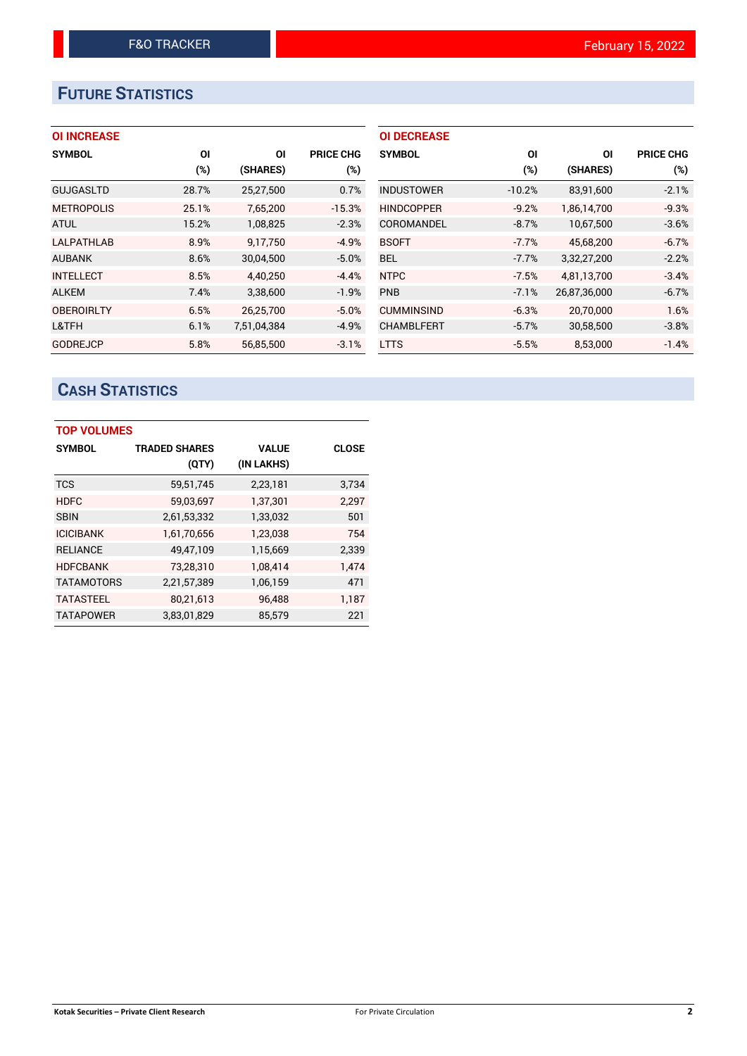# **FUTURE STATISTICS**

## **OI INCREASE**

| <b>SYMBOL</b>     | ΟI     | ΟI          | <b>PRICE CHG</b> |
|-------------------|--------|-------------|------------------|
|                   | $(\%)$ | (SHARES)    | $(\%)$           |
| <b>GUJGASLTD</b>  | 28.7%  | 25,27,500   | 0.7%             |
| <b>METROPOLIS</b> | 25.1%  | 7,65,200    | $-15.3%$         |
| <b>ATUL</b>       | 15.2%  | 1,08,825    | $-2.3%$          |
| <b>LALPATHLAB</b> | 8.9%   | 9,17,750    | $-4.9%$          |
| <b>AUBANK</b>     | 8.6%   | 30,04,500   | $-5.0%$          |
| <b>INTELLECT</b>  | 8.5%   | 4.40.250    | $-4.4%$          |
| <b>ALKEM</b>      | 7.4%   | 3,38,600    | $-1.9%$          |
| <b>OBEROIRLTY</b> | 6.5%   | 26,25,700   | $-5.0%$          |
| L&TFH             | 6.1%   | 7,51,04,384 | $-4.9%$          |
| <b>GODREJCP</b>   | 5.8%   | 56.85.500   | $-3.1%$          |

| <b>OI DECREASE</b> |          |              |                  |
|--------------------|----------|--------------|------------------|
| <b>SYMBOL</b>      | ΟI       | ΟI           | <b>PRICE CHG</b> |
|                    | (%)      | (SHARES)     | $(\%)$           |
| <b>INDUSTOWER</b>  | $-10.2%$ | 83,91,600    | $-2.1%$          |
| <b>HINDCOPPER</b>  | $-9.2%$  | 1,86,14,700  | $-9.3%$          |
| COROMANDEL         | $-8.7%$  | 10,67,500    | $-3.6%$          |
| <b>BSOFT</b>       | $-7.7%$  | 45,68,200    | $-6.7%$          |
| BEL                | $-7.7%$  | 3,32,27,200  | $-2.2%$          |
| <b>NTPC</b>        | $-7.5%$  | 4.81.13.700  | $-3.4%$          |
| <b>PNB</b>         | $-7.1%$  | 26,87,36,000 | $-6.7%$          |
| <b>CUMMINSIND</b>  | $-6.3%$  | 20,70,000    | 1.6%             |
| <b>CHAMBLFERT</b>  | $-5.7%$  | 30,58,500    | $-3.8%$          |
| <b>LTTS</b>        | $-5.5%$  | 8,53,000     | $-1.4%$          |

# **CASH STATISTICS**

| <b>TOP VOLUMES</b> |                      |              |              |  |  |  |  |
|--------------------|----------------------|--------------|--------------|--|--|--|--|
| <b>SYMBOL</b>      | <b>TRADED SHARES</b> | <b>VALUE</b> | <b>CLOSE</b> |  |  |  |  |
|                    | (QTY)                | (IN LAKHS)   |              |  |  |  |  |
| <b>TCS</b>         | 59,51,745            | 2,23,181     | 3,734        |  |  |  |  |
| <b>HDFC</b>        | 59,03,697            | 1,37,301     | 2,297        |  |  |  |  |
| <b>SBIN</b>        | 2,61,53,332          | 1,33,032     | 501          |  |  |  |  |
| <b>ICICIBANK</b>   | 1,61,70,656          | 1,23,038     | 754          |  |  |  |  |
| <b>RELIANCE</b>    | 49,47,109            | 1,15,669     | 2,339        |  |  |  |  |
| <b>HDFCBANK</b>    | 73,28,310            | 1,08,414     | 1.474        |  |  |  |  |
| <b>TATAMOTORS</b>  | 2,21,57,389          | 1,06,159     | 471          |  |  |  |  |
| <b>TATASTEEL</b>   | 80,21,613            | 96,488       | 1,187        |  |  |  |  |
| <b>TATAPOWER</b>   | 3,83,01,829          | 85.579       | 221          |  |  |  |  |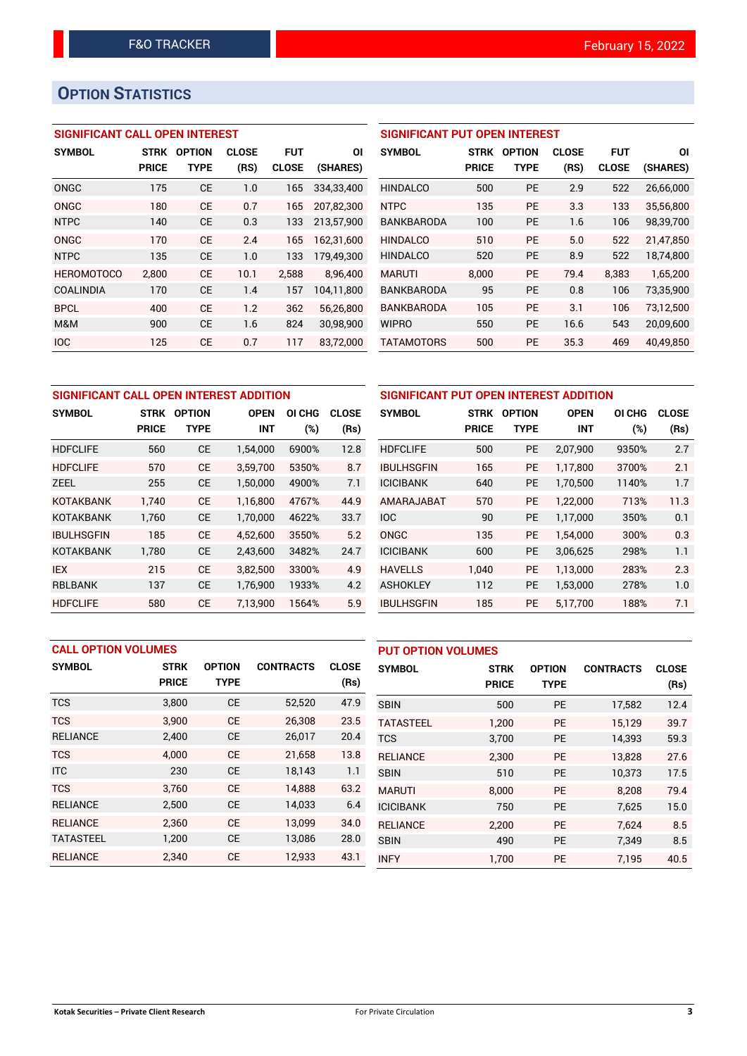# **OPTION STATISTICS**

## **SIGNIFICANT CALL OPEN INTEREST**

| <b>SYMBOL</b>     | <b>STRK</b>  | <b>OPTION</b> | <b>CLOSE</b> | <b>FUT</b>   | ΟI         |
|-------------------|--------------|---------------|--------------|--------------|------------|
|                   | <b>PRICE</b> | TYPE          | (RS)         | <b>CLOSE</b> | (SHARES)   |
| ONGC              | 175          | <b>CE</b>     | 1.0          | 165          | 334,33,400 |
| ONGC              | 180          | CF            | 0.7          | 165          | 207,82,300 |
| <b>NTPC</b>       | 140          | СE            | 0.3          | 133          | 213,57,900 |
| ONGC              | 170          | CE            | 2.4          | 165          | 162,31,600 |
| <b>NTPC</b>       | 135          | CE            | 1.0          | 133          | 179,49,300 |
| <b>HEROMOTOCO</b> | 2,800        | CE            | 10.1         | 2,588        | 8,96,400   |
| <b>COALINDIA</b>  | 170          | СE            | 1.4          | 157          | 104,11,800 |
| <b>BPCL</b>       | 400          | <b>CE</b>     | 1.2          | 362          | 56,26,800  |
| M&M               | 900          | CE            | 1.6          | 824          | 30,98,900  |
| <b>IOC</b>        | 125          | CE            | 0.7          | 117          | 83,72,000  |

### **SIGNIFICANT PUT OPEN INTEREST**

| <b>SYMBOL</b>     | <b>STRK</b><br><b>PRICE</b> | <b>OPTION</b><br>TYPE | <b>CLOSE</b><br>(RS) | <b>FUT</b><br><b>CLOSE</b> | ΟI<br>(SHARES) |
|-------------------|-----------------------------|-----------------------|----------------------|----------------------------|----------------|
| <b>HINDALCO</b>   | 500                         | PF                    | 2.9                  | 522                        | 26,66,000      |
| <b>NTPC</b>       | 135                         | PF                    | 3.3                  | 133                        | 35,56,800      |
| <b>BANKBARODA</b> | 100                         | PF                    | 1.6                  | 106                        | 98,39,700      |
| <b>HINDALCO</b>   | 510                         | PF                    | 5.0                  | 522                        | 21.47.850      |
| <b>HINDALCO</b>   | 520                         | <b>PE</b>             | 8.9                  | 522                        | 18,74,800      |
| MARUTI            | 8.000                       | PE                    | 79.4                 | 8.383                      | 1.65.200       |
| <b>BANKBARODA</b> | 95                          | <b>PE</b>             | 0.8                  | 106                        | 73,35,900      |
| <b>BANKBARODA</b> | 105                         | <b>PE</b>             | 3.1                  | 106                        | 73,12,500      |
| <b>WIPRO</b>      | 550                         | <b>PE</b>             | 16.6                 | 543                        | 20,09,600      |
| TATAMOTORS        | 500                         | <b>PE</b>             | 35.3                 | 469                        | 40,49,850      |

| SIGNIFICANT CALL OPEN INTEREST ADDITION |              |               |             |        |              | SIGNIFICANT PUT OPEN INTEREST ADDITION |              |               |             |  |
|-----------------------------------------|--------------|---------------|-------------|--------|--------------|----------------------------------------|--------------|---------------|-------------|--|
| <b>SYMBOL</b>                           | <b>STRK</b>  | <b>OPTION</b> | <b>OPEN</b> | OI CHG | <b>CLOSE</b> | <b>SYMBOL</b>                          | <b>STRK</b>  | <b>OPTION</b> | <b>OPEN</b> |  |
|                                         | <b>PRICE</b> | <b>TYPE</b>   | <b>INT</b>  | (%)    | (Rs)         |                                        | <b>PRICE</b> | <b>TYPE</b>   | <b>INT</b>  |  |
| <b>HDFCLIFE</b>                         | 560          | <b>CE</b>     | 1,54,000    | 6900%  | 12.8         | <b>HDFCLIFE</b>                        | 500          | <b>PE</b>     | 2,07,900    |  |
| <b>HDFCLIFE</b>                         | 570          | <b>CE</b>     | 3,59,700    | 5350%  | 8.7          | <b>IBULHSGFIN</b>                      | 165          | <b>PE</b>     | 1,17,800    |  |
| <b>ZEEL</b>                             | 255          | <b>CE</b>     | 1,50,000    | 4900%  | 7.1          | <b>ICICIBANK</b>                       | 640          | <b>PE</b>     | 1,70,500    |  |
| <b>KOTAKBANK</b>                        | 1.740        | <b>CE</b>     | 1.16.800    | 4767%  | 44.9         | AMARAJABAT                             | 570          | <b>PE</b>     | 1,22,000    |  |
| <b>KOTAKBANK</b>                        | 1,760        | <b>CE</b>     | 1,70,000    | 4622%  | 33.7         | <b>IOC</b>                             | 90           | <b>PE</b>     | 1,17,000    |  |
| <b>IBULHSGFIN</b>                       | 185          | <b>CE</b>     | 4.52.600    | 3550%  | 5.2          | <b>ONGC</b>                            | 135          | <b>PE</b>     | 1.54.000    |  |
| <b>KOTAKBANK</b>                        | 1,780        | <b>CE</b>     | 2,43,600    | 3482%  | 24.7         | <b>ICICIBANK</b>                       | 600          | <b>PE</b>     | 3,06,625    |  |
| IEX                                     | 215          | <b>CE</b>     | 3,82,500    | 3300%  | 4.9          | <b>HAVELLS</b>                         | 1.040        | <b>PE</b>     | 1,13,000    |  |
| <b>RBLBANK</b>                          | 137          | <b>CE</b>     | 1,76,900    | 1933%  | 4.2          | <b>ASHOKLEY</b>                        | 112          | PE            | 1,53,000    |  |
| <b>HDFCLIFE</b>                         | 580          | <b>CE</b>     | 7.13.900    | 1564%  | 5.9          | <b>IBULHSGFIN</b>                      | 185          | <b>PE</b>     | 5,17,700    |  |

| SIGNIFICANT PUT OPEN INTEREST ADDITION |              |               |             |        |              |  |  |  |
|----------------------------------------|--------------|---------------|-------------|--------|--------------|--|--|--|
| <b>SYMBOL</b>                          | <b>STRK</b>  | <b>OPTION</b> | <b>OPEN</b> | OI CHG | <b>CLOSE</b> |  |  |  |
|                                        | <b>PRICE</b> | <b>TYPE</b>   | INT         | $(\%)$ | (Rs)         |  |  |  |
| <b>HDFCLIFE</b>                        | 500          | РE            | 2,07,900    | 9350%  | 2.7          |  |  |  |
| <b>IBULHSGFIN</b>                      | 165          | PE            | 1,17,800    | 3700%  | 2.1          |  |  |  |
| <b>ICICIBANK</b>                       | 640          | PE            | 1,70,500    | 1140%  | 1.7          |  |  |  |
| AMARAJABAT                             | 570          | PE            | 1,22,000    | 713%   | 11.3         |  |  |  |
| <b>IOC</b>                             | 90           | PE            | 1,17,000    | 350%   | 0.1          |  |  |  |
| <b>ONGC</b>                            | 135          | PE            | 1,54,000    | 300%   | 0.3          |  |  |  |
| <b>ICICIBANK</b>                       | 600          | PE            | 3,06,625    | 298%   | 1.1          |  |  |  |
| <b>HAVELLS</b>                         | 1.040        | PE            | 1,13,000    | 283%   | 2.3          |  |  |  |
| <b>ASHOKLEY</b>                        | 112          | PE            | 1,53,000    | 278%   | 1.0          |  |  |  |
| <b>IBULHSGFIN</b>                      | 185          | <b>PE</b>     | 5,17,700    | 188%   | 7.1          |  |  |  |

| <b>CALL OPTION VOLUMES</b> |              |               |                  |              | <b>PUT OPTION VOLUMES</b> |              |               |                  |              |
|----------------------------|--------------|---------------|------------------|--------------|---------------------------|--------------|---------------|------------------|--------------|
| <b>SYMBOL</b>              | <b>STRK</b>  | <b>OPTION</b> | <b>CONTRACTS</b> | <b>CLOSE</b> | <b>SYMBOL</b>             | <b>STRK</b>  | <b>OPTION</b> | <b>CONTRACTS</b> | <b>CLOSE</b> |
|                            | <b>PRICE</b> | <b>TYPE</b>   |                  | (Rs)         |                           | <b>PRICE</b> | <b>TYPE</b>   |                  | (Rs)         |
| <b>TCS</b>                 | 3,800        | <b>CE</b>     | 52,520           | 47.9         | <b>SBIN</b>               | 500          | PE            | 17,582           | 12.4         |
| <b>TCS</b>                 | 3.900        | <b>CE</b>     | 26,308           | 23.5         | <b>TATASTEEL</b>          | 1.200        | PE            | 15.129           | 39.7         |
| <b>RELIANCE</b>            | 2,400        | <b>CE</b>     | 26,017           | 20.4         | <b>TCS</b>                | 3,700        | PE            | 14,393           | 59.3         |
| <b>TCS</b>                 | 4.000        | <b>CE</b>     | 21.658           | 13.8         | <b>RELIANCE</b>           | 2.300        | <b>PE</b>     | 13.828           | 27.6         |
| <b>ITC</b>                 | 230          | <b>CE</b>     | 18,143           | 1.1          | <b>SBIN</b>               | 510          | PE            | 10.373           | 17.5         |
| <b>TCS</b>                 | 3.760        | <b>CE</b>     | 14.888           | 63.2         | <b>MARUTI</b>             | 8.000        | PE            | 8.208            | 79.4         |
| <b>RELIANCE</b>            | 2,500        | <b>CE</b>     | 14,033           | 6.4          | <b>ICICIBANK</b>          | 750          | PE            | 7,625            | 15.0         |
| <b>RELIANCE</b>            | 2,360        | <b>CE</b>     | 13.099           | 34.0         | <b>RELIANCE</b>           | 2.200        | <b>PE</b>     | 7.624            | 8.5          |
| <b>TATASTEEL</b>           | 1,200        | <b>CE</b>     | 13,086           | 28.0         | <b>SBIN</b>               | 490          | PE            | 7,349            | 8.5          |
| <b>RELIANCE</b>            | 2,340        | <b>CE</b>     | 12,933           | 43.1         | <b>INFY</b>               | 1,700        | PE            | 7.195            | 40.5         |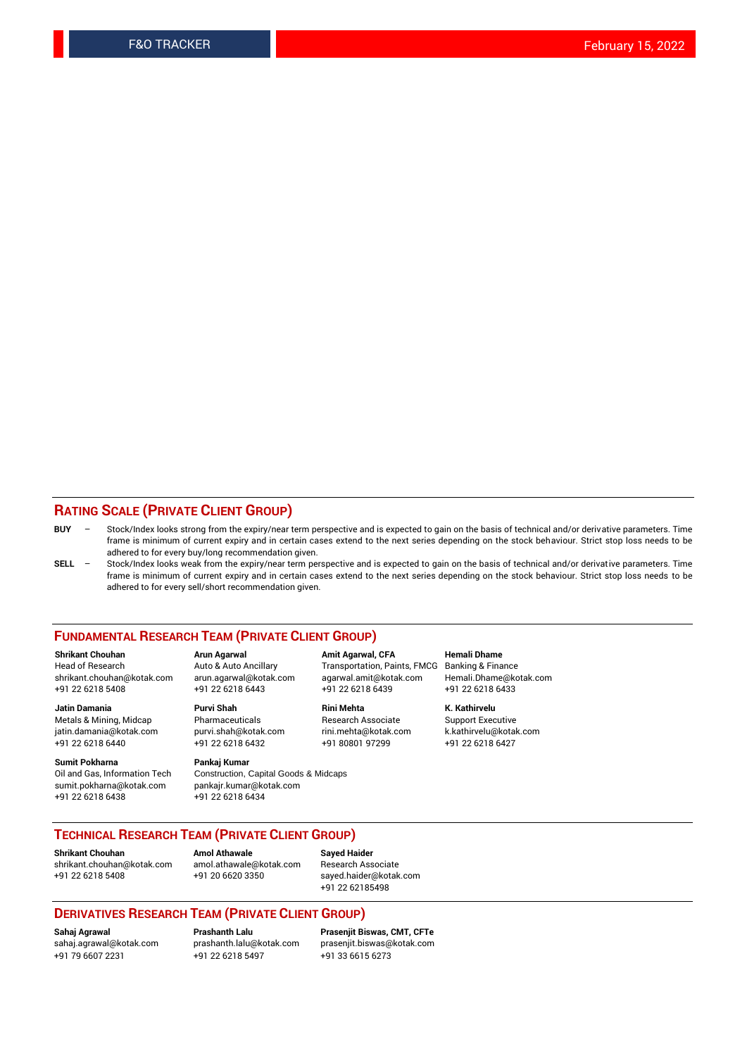#### **RATING SCALE (PRIVATE CLIENT GROUP)**

- **BUY**  Stock/Index looks strong from the expiry/near term perspective and is expected to gain on the basis of technical and/or derivative parameters. Time frame is minimum of current expiry and in certain cases extend to the next series depending on the stock behaviour. Strict stop loss needs to be adhered to for every buy/long recommendation given.
- **SELL** Stock/Index looks weak from the expiry/near term perspective and is expected to gain on the basis of technical and/or derivative parameters. Time frame is minimum of current expiry and in certain cases extend to the next series depending on the stock behaviour. Strict stop loss needs to be adhered to for every sell/short recommendation given.

#### **FUNDAMENTAL RESEARCH TEAM (PRIVATE CLIENT GROUP)**

**Shrikant Chouhan Arun Agarwal Amit Agarwal, CFA Hemali Dhame** +91 22 6218 5408 +91 22 6218 6443 +91 22 6218 6439 +91 22 6218 6433

jatin.damania@kotak.com +91 22 6218 6440 +91 22 6218 6432 +91 80801 97299 +91 22 6218 6427

**Sumit Pokharna** Pankaj Kumar<br>Oil and Gas, Information Tech Construction, sumit.pokharna@kotak.com pankajr.kumar@kotak.com +91 22 6218 6438 +91 22 6218 6434

**Jatin Damania Purvi Shah Rini Mehta K. Kathirvelu**

Construction, Capital Goods & Midcaps

Transportation, Paints, FMCG Banking & Finance shrikant.chouhan@kotak.com arun.agarwal@kotak.com agarwal.amit@kotak.com Hemali.Dhame@kotak.com

Metals & Mining, Midcap Pharmaceuticals Research Associate Support Executive<br>
jatin.damania@kotak.com purvi.shah@kotak.com rini.mehta@kotak.com k.kathirvelu@kotak.com

## **TECHNICAL RESEARCH TEAM (PRIVATE CLIENT GROUP)**

[shrikant.chouhan@kotak.com](mailto:shrikant.chouhan@kotak.com) [amol.athawale@kotak.com](mailto:amol.athawale@kotak.com) Research Associate +91 22 6218 5408 +91 20 6620 3350 [sayed.haider@kotak.com](mailto:sayed.haider@kotak.com)

**Shrikant Chouhan Amol Athawale Sayed Haider**

+91 22 62185498

#### **DERIVATIVES RESEARCH TEAM (PRIVATE CLIENT GROUP)**

+91 79 6607 2231 +91 22 6218 5497 +91 33 6615 6273

**Sahaj Agrawal Prashanth Lalu Prasenjit Biswas, CMT, CFTe** [sahaj.agrawal@kotak.com](mailto:sahaj.agrawal@kotak.com) [prashanth.lalu@kotak.com](mailto:prashanth.lalu@kotak.com) [prasenjit.biswas@kotak.com](mailto:prasenjit.biswas@kotak.com)